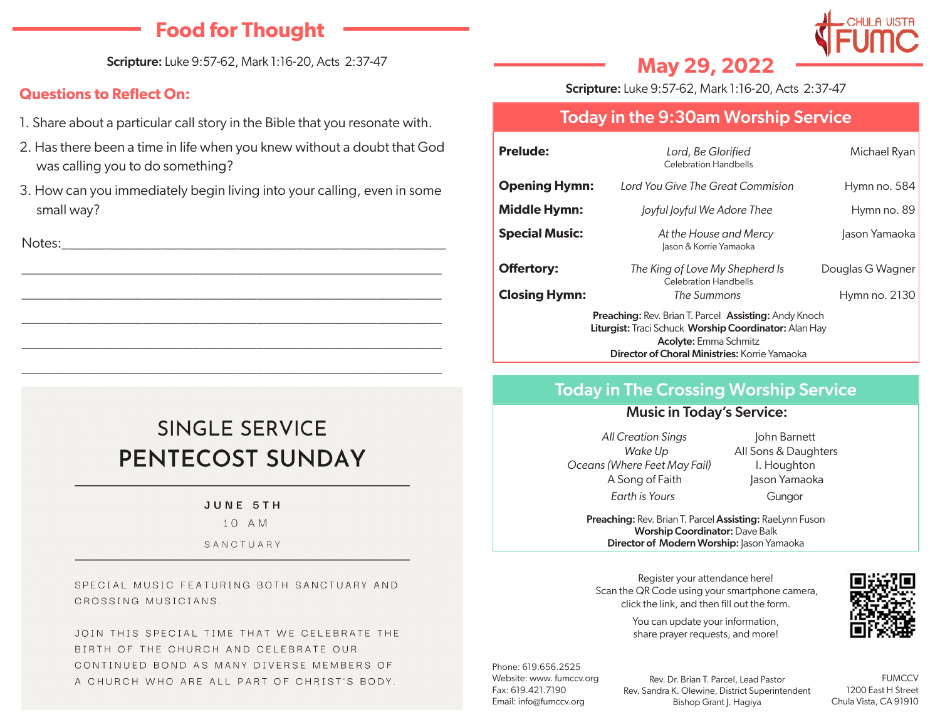# **Food for Thought**

Scripture: Luke 9:57-62, Mark 1:16-20, Acts 2:37-47

### **Questions to Reflect On:**

- 1. Share about a particular call story in the Bible that you resonate with.
- 2. Has there been a time in life when you knew without a doubt that God was calling you to do something?
- 3. How can you immediately begin living into your calling, even in some small way?

\_\_\_\_\_\_\_\_\_\_\_\_\_\_\_\_\_\_\_\_\_\_\_\_\_\_\_\_\_\_\_\_\_\_\_\_\_\_\_\_\_\_\_\_\_\_\_\_\_\_\_\_\_\_\_\_\_\_\_

\_\_\_\_\_\_\_\_\_\_\_\_\_\_\_\_\_\_\_\_\_\_\_\_\_\_\_\_\_\_\_\_\_\_\_\_\_\_\_\_\_\_\_\_\_\_\_\_\_\_\_\_\_\_\_\_\_\_\_

\_\_\_\_\_\_\_\_\_\_\_\_\_\_\_\_\_\_\_\_\_\_\_\_\_\_\_\_\_\_\_\_\_\_\_\_\_\_\_\_\_\_\_\_\_\_\_\_\_\_\_\_\_\_\_\_\_\_\_

\_\_\_\_\_\_\_\_\_\_\_\_\_\_\_\_\_\_\_\_\_\_\_\_\_\_\_\_\_\_\_\_\_\_\_\_\_\_\_\_\_\_\_\_\_\_\_\_\_\_\_\_\_\_\_\_\_\_\_

\_\_\_\_\_\_\_\_\_\_\_\_\_\_\_\_\_\_\_\_\_\_\_\_\_\_\_\_\_\_\_\_\_\_\_\_\_\_\_\_\_\_\_\_\_\_\_\_\_\_\_\_\_\_\_\_\_\_\_

Notes:\_\_\_\_\_\_\_\_\_\_\_\_\_\_\_\_\_\_\_\_\_\_\_\_\_\_\_\_\_\_\_\_\_\_\_\_\_\_\_\_\_\_\_\_\_\_\_\_\_\_\_\_\_\_

# SINGLE SERVICE PENTECOST SUNDAY

#### JUNE 5TH

 $10AM$ 

SANCTUARY

SPECIAL MUSIC FEATURING BOTH SANCTUARY AND CROSSING MUSICIANS.

JOIN THIS SPECIAL TIME THAT WE CELEBRATE THE BIRTH OF THE CHURCH AND CELEBRATE OUR CONTINUED BOND AS MANY DIVERSE MEMBERS OF A CHURCH WHO ARE ALL PART OF CHRIST'S BODY.

# **May 29, 2022**

Scripture: Luke 9:57-62, Mark 1:16-20, Acts 2:37-47

# Today in the 9:30am Worship Service

| <b>Prelude:</b>                                                                                                                                                                                               | Lord, Be Glorified<br><b>Celebration Handbells</b>              | Michael Ryan     |
|---------------------------------------------------------------------------------------------------------------------------------------------------------------------------------------------------------------|-----------------------------------------------------------------|------------------|
| <b>Opening Hymn:</b>                                                                                                                                                                                          | Lord You Give The Great Commision                               | Hymn no. $584$   |
| <b>Middle Hymn:</b>                                                                                                                                                                                           | Joyful Joyful We Adore Thee                                     | Hymn no. 89      |
| <b>Special Music:</b>                                                                                                                                                                                         | At the House and Mercy<br>Jason & Korrie Yamaoka                | Jason Yamaoka    |
| <b>Offertory:</b>                                                                                                                                                                                             | The King of Love My Shepherd Is<br><b>Celebration Handbells</b> | Douglas G Wagner |
| <b>Closing Hymn:</b>                                                                                                                                                                                          | The Summons                                                     | Hymn no. 2130    |
| <b>Preaching: Rev. Brian T. Parcel Assisting: Andy Knoch</b><br>Liturgist: Traci Schuck Worship Coordinator: Alan Hay<br><b>Acolyte:</b> Emma Schmitz<br><b>Director of Choral Ministries:</b> Korrie Yamaoka |                                                                 |                  |

# Today in The Crossing Worship Service

#### Music in Today's Service:

*All Creation Sings* John Barnett *Oceans (Where Feet May Fail)* I. Houghton A Song of Faith Jason Yamaoka *Earth is Yours* Gungor

*Wake Up* **All Sons & Daughters** 

Preaching: Rev. Brian T. Parcel Assisting: RaeLynn Fuson Worship Coordinator: Dave Balk Director of Modern Worship: Jason Yamaoka

Register your attendance here! Scan the QR Code using your smartphone camera, click the link, and then fill out the form.



You can update your information, share prayer requests, and more!

Phone: 619.656.2525 Website: www. fumccv.org Fax: 619.421.7190 Email: info@fumccv.org

Rev. Dr. Brian T. Parcel, Lead Pastor Rev. Sandra K. Olewine, District Superintendent Bishop Grant J. Hagiya

**FUMCCV** 1200 East H Street Chula Vista, CA 91910